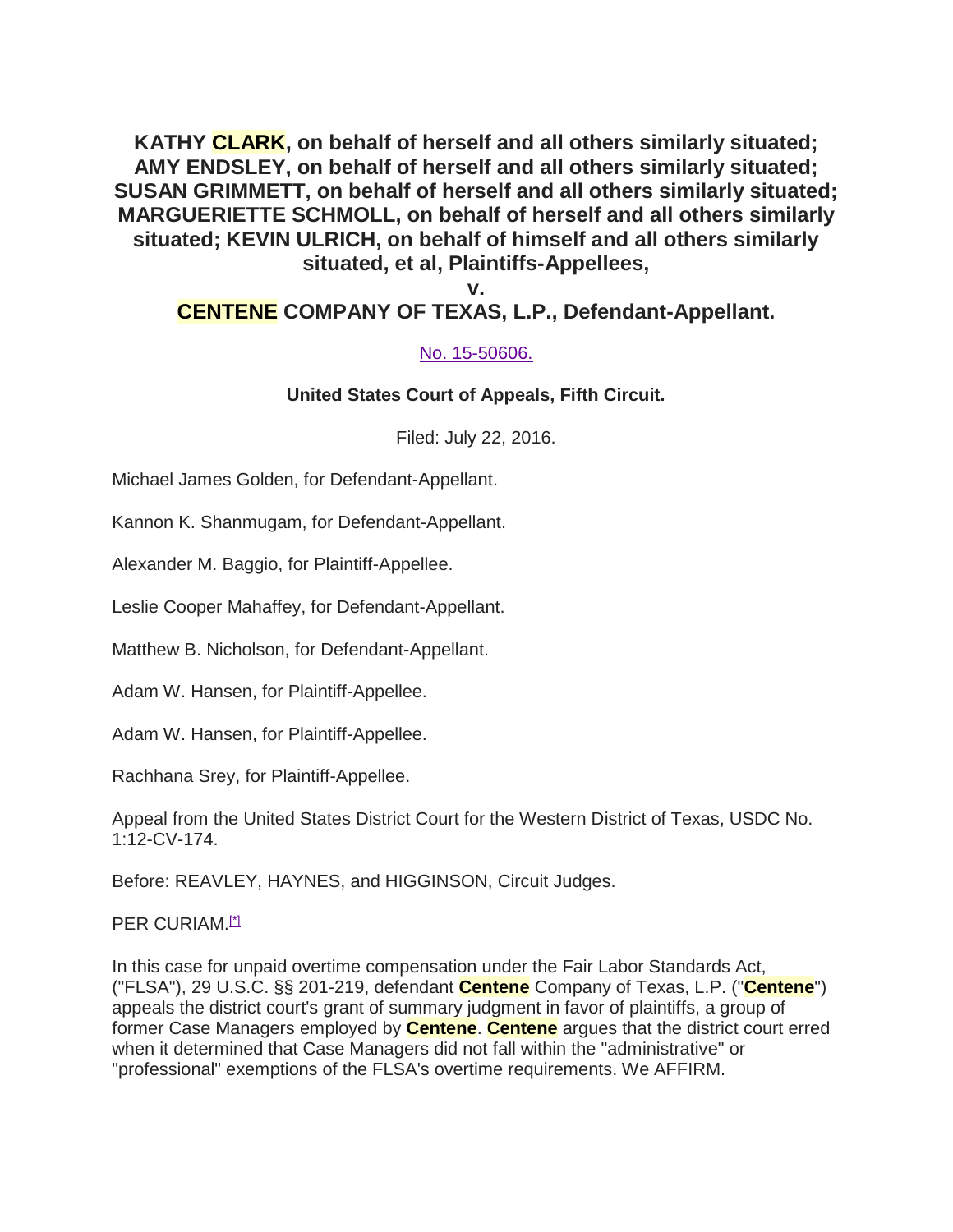**KATHY CLARK, on behalf of herself and all others similarly situated; AMY ENDSLEY, on behalf of herself and all others similarly situated; SUSAN GRIMMETT, on behalf of herself and all others similarly situated; MARGUERIETTE SCHMOLL, on behalf of herself and all others similarly situated; KEVIN ULRICH, on behalf of himself and all others similarly situated, et al, Plaintiffs-Appellees,**

**v.**

### **CENTENE COMPANY OF TEXAS, L.P., Defendant-Appellant.**

#### No. 15-50606.

#### **United States Court of Appeals, Fifth Circuit.**

Filed: July 22, 2016.

Michael James Golden, for Defendant-Appellant.

Kannon K. Shanmugam, for Defendant-Appellant.

Alexander M. Baggio, for Plaintiff-Appellee.

Leslie Cooper Mahaffey, for Defendant-Appellant.

Matthew B. Nicholson, for Defendant-Appellant.

Adam W. Hansen, for Plaintiff-Appellee.

Adam W. Hansen, for Plaintiff-Appellee.

Rachhana Srey, for Plaintiff-Appellee.

Appeal from the United States District Court for the Western District of Texas, USDC No. 1:12-CV-174.

Before: REAVLEY, HAYNES, and HIGGINSON, Circuit Judges.

#### PER CURIAM.<sup>[\*]</sup>

In this case for unpaid overtime compensation under the Fair Labor Standards Act, ("FLSA"), 29 U.S.C. §§ 201-219, defendant **Centene** Company of Texas, L.P. ("**Centene**") appeals the district court's grant of summary judgment in favor of plaintiffs, a group of former Case Managers employed by **Centene**. **Centene** argues that the district court erred when it determined that Case Managers did not fall within the "administrative" or "professional" exemptions of the FLSA's overtime requirements. We AFFIRM.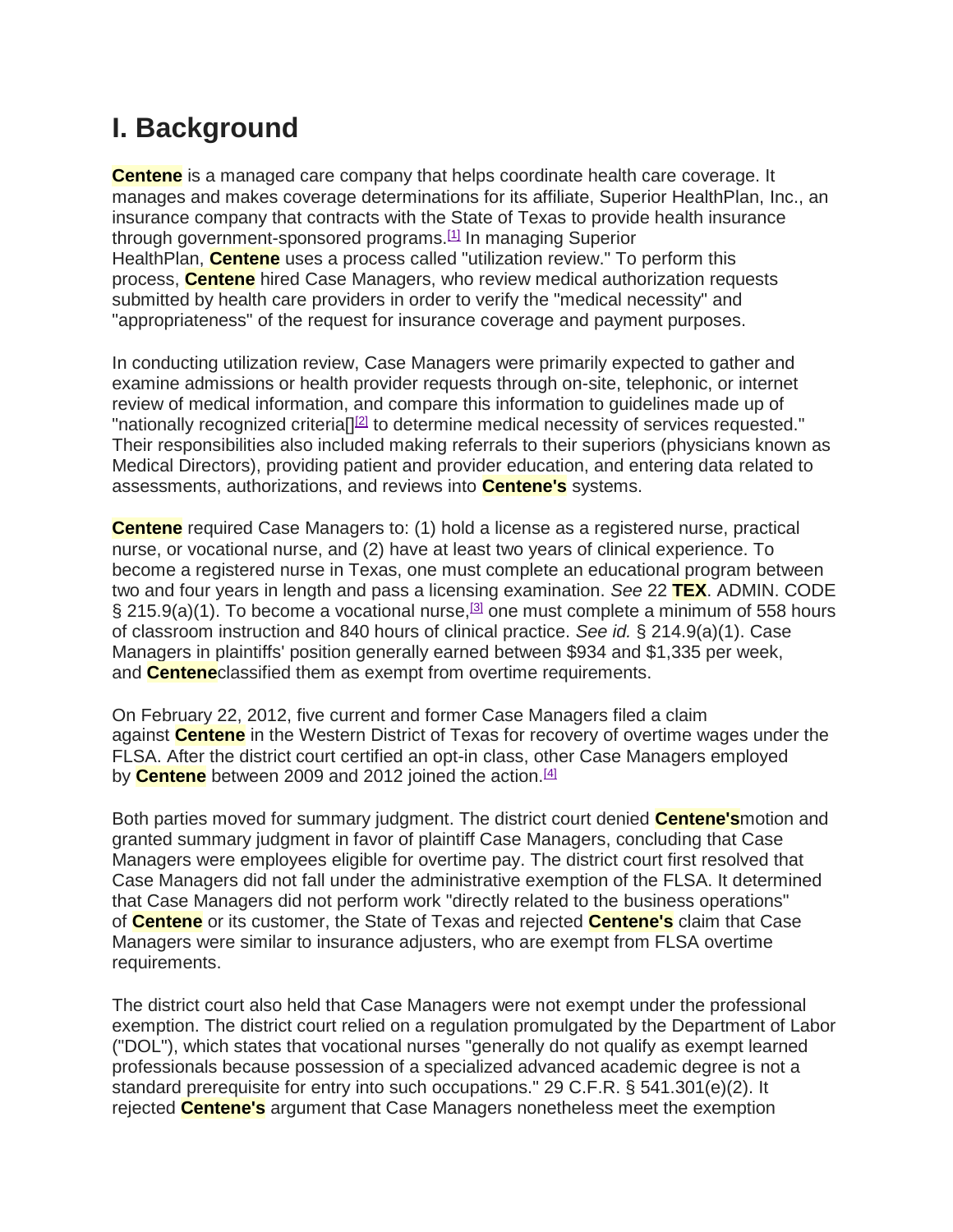### **I. Background**

**Centene** is a managed care company that helps coordinate health care coverage. It manages and makes coverage determinations for its affiliate, Superior HealthPlan, Inc., an insurance company that contracts with the State of Texas to provide health insurance through government-sponsored programs.<sup>[1]</sup> In managing Superior HealthPlan, **Centene** uses a process called "utilization review." To perform this process, **Centene** hired Case Managers, who review medical authorization requests submitted by health care providers in order to verify the "medical necessity" and "appropriateness" of the request for insurance coverage and payment purposes.

In conducting utilization review, Case Managers were primarily expected to gather and examine admissions or health provider requests through on-site, telephonic, or internet review of medical information, and compare this information to guidelines made up of "nationally recognized criteria[][2] to determine medical necessity of services requested." Their responsibilities also included making referrals to their superiors (physicians known as Medical Directors), providing patient and provider education, and entering data related to assessments, authorizations, and reviews into **Centene's** systems.

**Centene** required Case Managers to: (1) hold a license as a registered nurse, practical nurse, or vocational nurse, and (2) have at least two years of clinical experience. To become a registered nurse in Texas, one must complete an educational program between two and four years in length and pass a licensing examination. *See* 22 **TEX**. ADMIN. CODE § 215.9(a)(1). To become a vocational nurse,[3] one must complete a minimum of 558 hours of classroom instruction and 840 hours of clinical practice. *See id.* § 214.9(a)(1). Case Managers in plaintiffs' position generally earned between \$934 and \$1,335 per week, and **Centene**classified them as exempt from overtime requirements.

On February 22, 2012, five current and former Case Managers filed a claim against **Centene** in the Western District of Texas for recovery of overtime wages under the FLSA. After the district court certified an opt-in class, other Case Managers employed by **Centene** between 2009 and 2012 joined the action.<sup>[4]</sup>

Both parties moved for summary judgment. The district court denied **Centene's**motion and granted summary judgment in favor of plaintiff Case Managers, concluding that Case Managers were employees eligible for overtime pay. The district court first resolved that Case Managers did not fall under the administrative exemption of the FLSA. It determined that Case Managers did not perform work "directly related to the business operations" of **Centene** or its customer, the State of Texas and rejected **Centene's** claim that Case Managers were similar to insurance adjusters, who are exempt from FLSA overtime requirements.

The district court also held that Case Managers were not exempt under the professional exemption. The district court relied on a regulation promulgated by the Department of Labor ("DOL"), which states that vocational nurses "generally do not qualify as exempt learned professionals because possession of a specialized advanced academic degree is not a standard prerequisite for entry into such occupations." 29 C.F.R. § 541.301(e)(2). It rejected **Centene's** argument that Case Managers nonetheless meet the exemption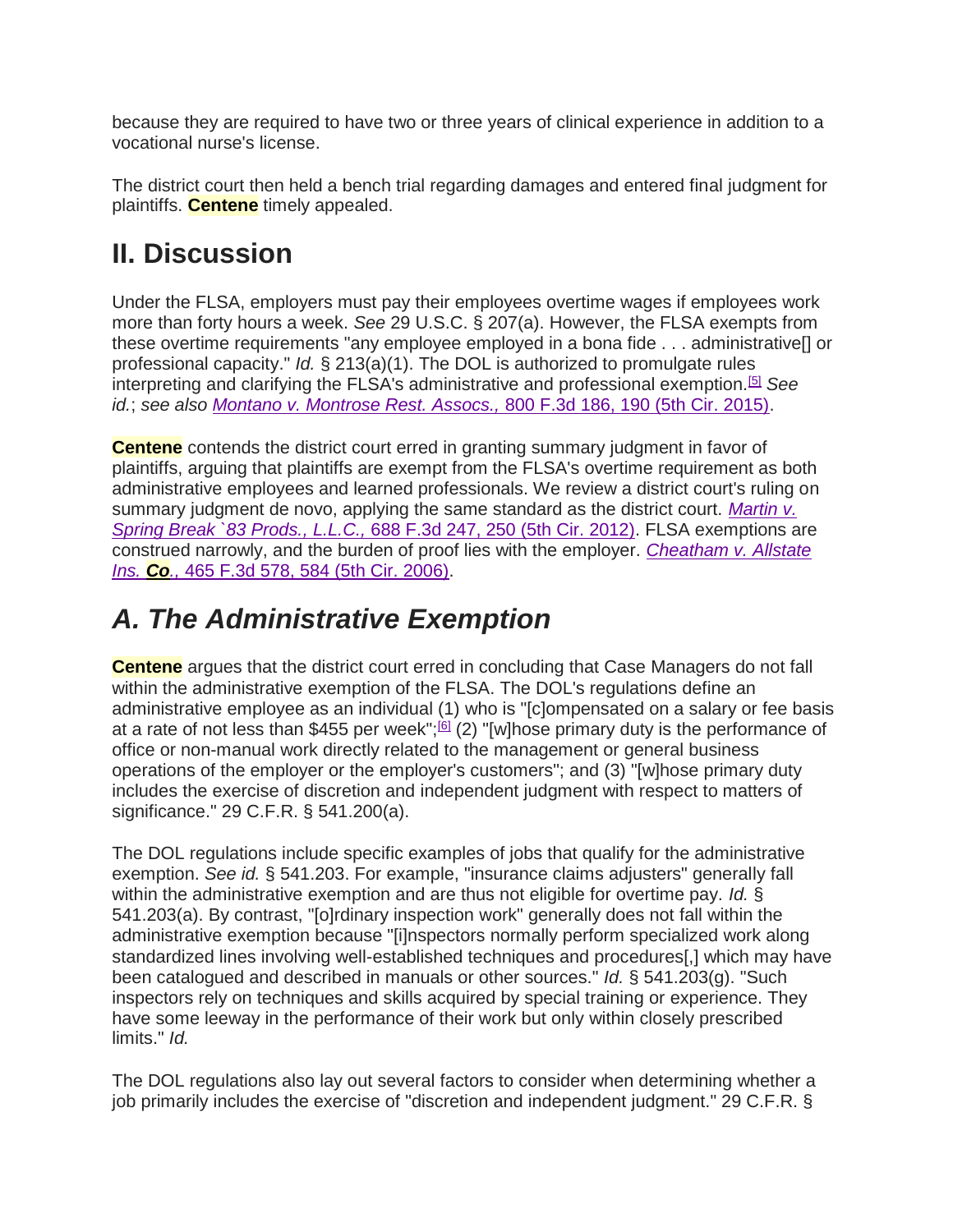because they are required to have two or three years of clinical experience in addition to a vocational nurse's license.

The district court then held a bench trial regarding damages and entered final judgment for plaintiffs. **Centene** timely appealed.

# **II. Discussion**

Under the FLSA, employers must pay their employees overtime wages if employees work more than forty hours a week. *See* 29 U.S.C. § 207(a). However, the FLSA exempts from these overtime requirements "any employee employed in a bona fide . . . administrative[] or professional capacity." *Id.* § 213(a)(1). The DOL is authorized to promulgate rules interpreting and clarifying the FLSA's administrative and professional exemption.[5] *See id.*; *see also Montano v. Montrose Rest. Assocs.,* 800 F.3d 186, 190 (5th Cir. 2015).

**Centene** contends the district court erred in granting summary judgment in favor of plaintiffs, arguing that plaintiffs are exempt from the FLSA's overtime requirement as both administrative employees and learned professionals. We review a district court's ruling on summary judgment de novo, applying the same standard as the district court. *Martin v. Spring Break `83 Prods., L.L.C.,* 688 F.3d 247, 250 (5th Cir. 2012). FLSA exemptions are construed narrowly, and the burden of proof lies with the employer. *Cheatham v. Allstate Ins. Co.,* 465 F.3d 578, 584 (5th Cir. 2006).

## *A. The Administrative Exemption*

**Centene** argues that the district court erred in concluding that Case Managers do not fall within the administrative exemption of the FLSA. The DOL's regulations define an administrative employee as an individual (1) who is "[c]ompensated on a salary or fee basis at a rate of not less than \$455 per week"; $[6]$  (2) "[w]hose primary duty is the performance of office or non-manual work directly related to the management or general business operations of the employer or the employer's customers"; and (3) "[w]hose primary duty includes the exercise of discretion and independent judgment with respect to matters of significance." 29 C.F.R. § 541.200(a).

The DOL regulations include specific examples of jobs that qualify for the administrative exemption. *See id.* § 541.203. For example, "insurance claims adjusters" generally fall within the administrative exemption and are thus not eligible for overtime pay. *Id.* § 541.203(a). By contrast, "[o]rdinary inspection work" generally does not fall within the administrative exemption because "[i]nspectors normally perform specialized work along standardized lines involving well-established techniques and procedures[,] which may have been catalogued and described in manuals or other sources." *Id.* § 541.203(g). "Such inspectors rely on techniques and skills acquired by special training or experience. They have some leeway in the performance of their work but only within closely prescribed limits." *Id.*

The DOL regulations also lay out several factors to consider when determining whether a job primarily includes the exercise of "discretion and independent judgment." 29 C.F.R. §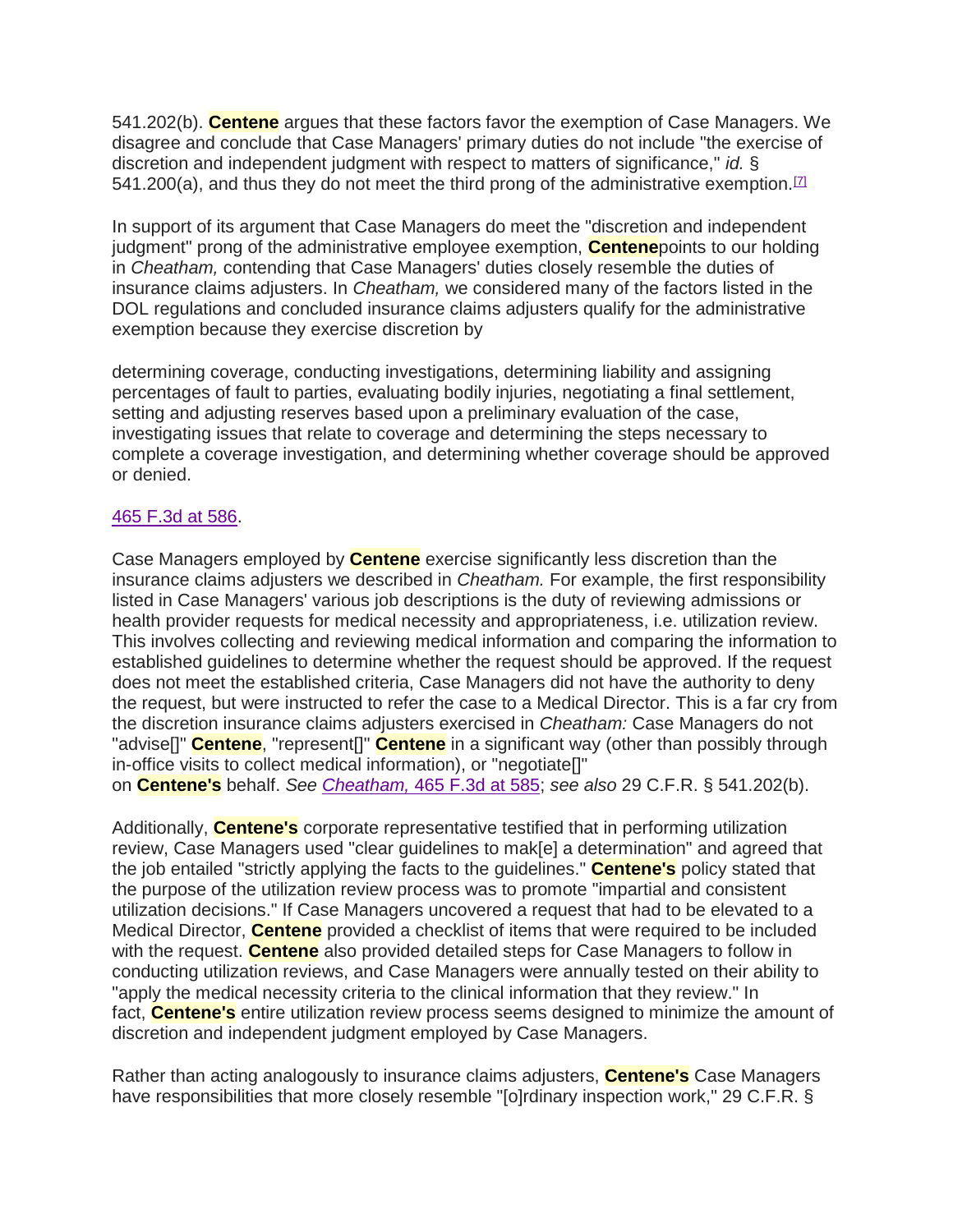541.202(b). **Centene** argues that these factors favor the exemption of Case Managers. We disagree and conclude that Case Managers' primary duties do not include "the exercise of discretion and independent judgment with respect to matters of significance," *id.* § 541.200(a), and thus they do not meet the third prong of the administrative exemption.  $\mathbb{Z}$ 

In support of its argument that Case Managers do meet the "discretion and independent judgment" prong of the administrative employee exemption, **Centene**points to our holding in *Cheatham,* contending that Case Managers' duties closely resemble the duties of insurance claims adjusters. In *Cheatham,* we considered many of the factors listed in the DOL regulations and concluded insurance claims adjusters qualify for the administrative exemption because they exercise discretion by

determining coverage, conducting investigations, determining liability and assigning percentages of fault to parties, evaluating bodily injuries, negotiating a final settlement, setting and adjusting reserves based upon a preliminary evaluation of the case, investigating issues that relate to coverage and determining the steps necessary to complete a coverage investigation, and determining whether coverage should be approved or denied.

#### 465 F.3d at 586.

Case Managers employed by **Centene** exercise significantly less discretion than the insurance claims adjusters we described in *Cheatham.* For example, the first responsibility listed in Case Managers' various job descriptions is the duty of reviewing admissions or health provider requests for medical necessity and appropriateness, i.e. utilization review. This involves collecting and reviewing medical information and comparing the information to established guidelines to determine whether the request should be approved. If the request does not meet the established criteria, Case Managers did not have the authority to deny the request, but were instructed to refer the case to a Medical Director. This is a far cry from the discretion insurance claims adjusters exercised in *Cheatham:* Case Managers do not "advise[]" **Centene**, "represent[]" **Centene** in a significant way (other than possibly through in-office visits to collect medical information), or "negotiate[]" on **Centene's** behalf. *See Cheatham,* 465 F.3d at 585; *see also* 29 C.F.R. § 541.202(b).

Additionally, **Centene's** corporate representative testified that in performing utilization review, Case Managers used "clear guidelines to mak[e] a determination" and agreed that the job entailed "strictly applying the facts to the guidelines." **Centene's** policy stated that the purpose of the utilization review process was to promote "impartial and consistent utilization decisions." If Case Managers uncovered a request that had to be elevated to a Medical Director, **Centene** provided a checklist of items that were required to be included with the request. **Centene** also provided detailed steps for Case Managers to follow in conducting utilization reviews, and Case Managers were annually tested on their ability to "apply the medical necessity criteria to the clinical information that they review." In fact, **Centene's** entire utilization review process seems designed to minimize the amount of discretion and independent judgment employed by Case Managers.

Rather than acting analogously to insurance claims adjusters, **Centene's** Case Managers have responsibilities that more closely resemble "[o]rdinary inspection work," 29 C.F.R. §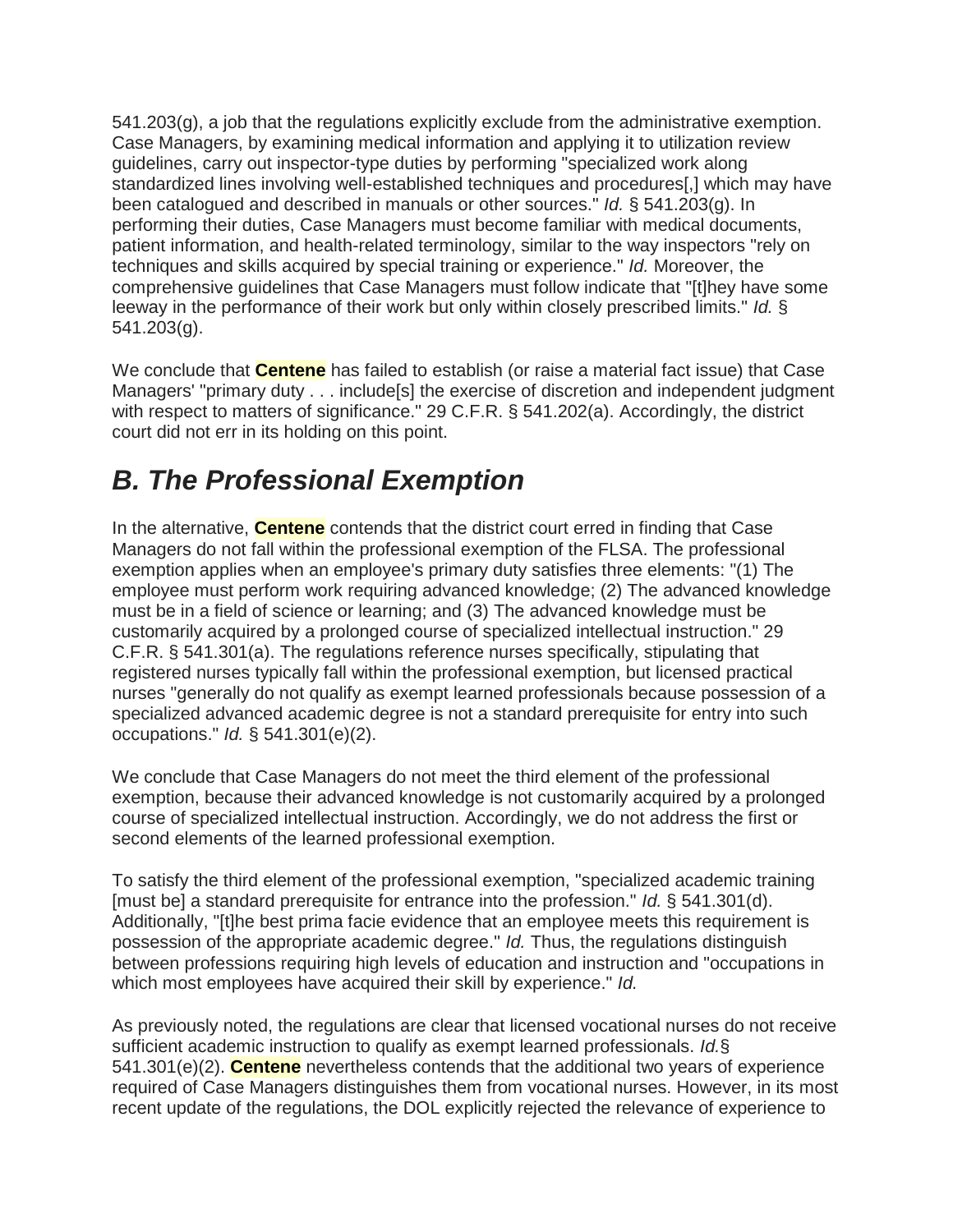$541.203(q)$ , a job that the regulations explicitly exclude from the administrative exemption. Case Managers, by examining medical information and applying it to utilization review guidelines, carry out inspector-type duties by performing "specialized work along standardized lines involving well-established techniques and procedures[,] which may have been catalogued and described in manuals or other sources." *Id.* § 541.203(g). In performing their duties, Case Managers must become familiar with medical documents, patient information, and health-related terminology, similar to the way inspectors "rely on techniques and skills acquired by special training or experience." *Id.* Moreover, the comprehensive guidelines that Case Managers must follow indicate that "[t]hey have some leeway in the performance of their work but only within closely prescribed limits." *Id.* § 541.203(g).

We conclude that **Centene** has failed to establish (or raise a material fact issue) that Case Managers' "primary duty . . . include[s] the exercise of discretion and independent judgment with respect to matters of significance." 29 C.F.R. § 541.202(a). Accordingly, the district court did not err in its holding on this point.

## *B. The Professional Exemption*

In the alternative, **Centene** contends that the district court erred in finding that Case Managers do not fall within the professional exemption of the FLSA. The professional exemption applies when an employee's primary duty satisfies three elements: "(1) The employee must perform work requiring advanced knowledge; (2) The advanced knowledge must be in a field of science or learning; and (3) The advanced knowledge must be customarily acquired by a prolonged course of specialized intellectual instruction." 29 C.F.R. § 541.301(a). The regulations reference nurses specifically, stipulating that registered nurses typically fall within the professional exemption, but licensed practical nurses "generally do not qualify as exempt learned professionals because possession of a specialized advanced academic degree is not a standard prerequisite for entry into such occupations." *Id.* § 541.301(e)(2).

We conclude that Case Managers do not meet the third element of the professional exemption, because their advanced knowledge is not customarily acquired by a prolonged course of specialized intellectual instruction. Accordingly, we do not address the first or second elements of the learned professional exemption.

To satisfy the third element of the professional exemption, "specialized academic training [must be] a standard prerequisite for entrance into the profession." *Id.* § 541.301(d). Additionally, "[t]he best prima facie evidence that an employee meets this requirement is possession of the appropriate academic degree." *Id.* Thus, the regulations distinguish between professions requiring high levels of education and instruction and "occupations in which most employees have acquired their skill by experience." *Id.*

As previously noted, the regulations are clear that licensed vocational nurses do not receive sufficient academic instruction to qualify as exempt learned professionals. *Id.*§ 541.301(e)(2). **Centene** nevertheless contends that the additional two years of experience required of Case Managers distinguishes them from vocational nurses. However, in its most recent update of the regulations, the DOL explicitly rejected the relevance of experience to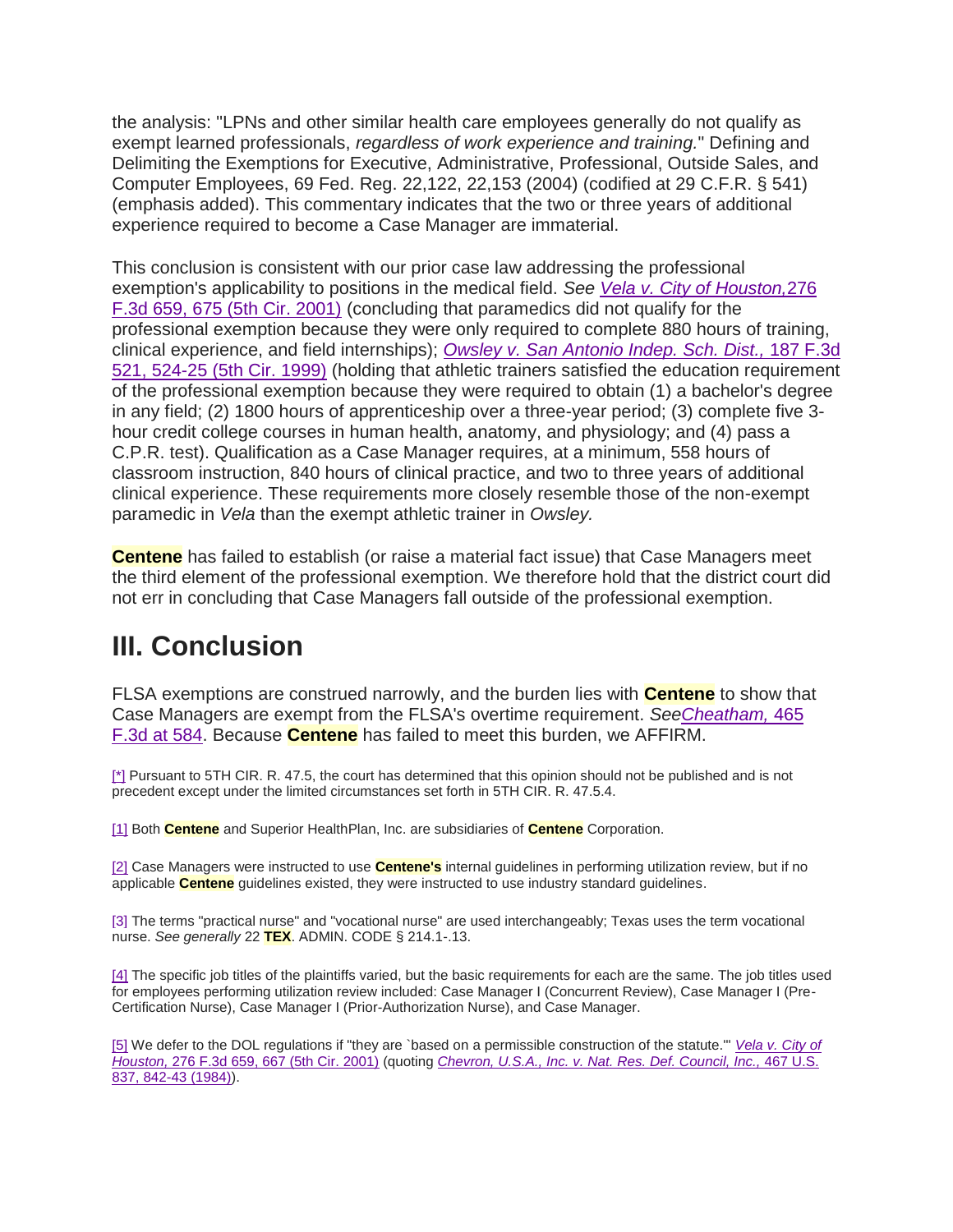the analysis: "LPNs and other similar health care employees generally do not qualify as exempt learned professionals, *regardless of work experience and training.*" Defining and Delimiting the Exemptions for Executive, Administrative, Professional, Outside Sales, and Computer Employees, 69 Fed. Reg. 22,122, 22,153 (2004) (codified at 29 C.F.R. § 541) (emphasis added). This commentary indicates that the two or three years of additional experience required to become a Case Manager are immaterial.

This conclusion is consistent with our prior case law addressing the professional exemption's applicability to positions in the medical field. *See Vela v. City of Houston,*276 F.3d 659, 675 (5th Cir. 2001) (concluding that paramedics did not qualify for the professional exemption because they were only required to complete 880 hours of training, clinical experience, and field internships); *Owsley v. San Antonio Indep. Sch. Dist.,* 187 F.3d 521, 524-25 (5th Cir. 1999) (holding that athletic trainers satisfied the education requirement of the professional exemption because they were required to obtain (1) a bachelor's degree in any field; (2) 1800 hours of apprenticeship over a three-year period; (3) complete five 3 hour credit college courses in human health, anatomy, and physiology; and (4) pass a C.P.R. test). Qualification as a Case Manager requires, at a minimum, 558 hours of classroom instruction, 840 hours of clinical practice, and two to three years of additional clinical experience. These requirements more closely resemble those of the non-exempt paramedic in *Vela* than the exempt athletic trainer in *Owsley.*

**Centene** has failed to establish (or raise a material fact issue) that Case Managers meet the third element of the professional exemption. We therefore hold that the district court did not err in concluding that Case Managers fall outside of the professional exemption.

### **III. Conclusion**

FLSA exemptions are construed narrowly, and the burden lies with **Centene** to show that Case Managers are exempt from the FLSA's overtime requirement. *SeeCheatham,* 465 F.3d at 584. Because **Centene** has failed to meet this burden, we AFFIRM.

[\*] Pursuant to 5TH CIR. R. 47.5, the court has determined that this opinion should not be published and is not precedent except under the limited circumstances set forth in 5TH CIR. R. 47.5.4.

[1] Both **Centene** and Superior HealthPlan, Inc. are subsidiaries of **Centene** Corporation.

[2] Case Managers were instructed to use **Centene's** internal guidelines in performing utilization review, but if no applicable **Centene** guidelines existed, they were instructed to use industry standard guidelines.

[3] The terms "practical nurse" and "vocational nurse" are used interchangeably; Texas uses the term vocational nurse. *See generally* 22 **TEX**. ADMIN. CODE § 214.1-.13.

[4] The specific job titles of the plaintiffs varied, but the basic requirements for each are the same. The job titles used for employees performing utilization review included: Case Manager I (Concurrent Review), Case Manager I (Pre-Certification Nurse), Case Manager I (Prior-Authorization Nurse), and Case Manager.

[5] We defer to the DOL regulations if "they are `based on a permissible construction of the statute.'" *Vela v. City of Houston,* 276 F.3d 659, 667 (5th Cir. 2001) (quoting *Chevron, U.S.A., Inc. v. Nat. Res. Def. Council, Inc.,* 467 U.S. 837, 842-43 (1984)).